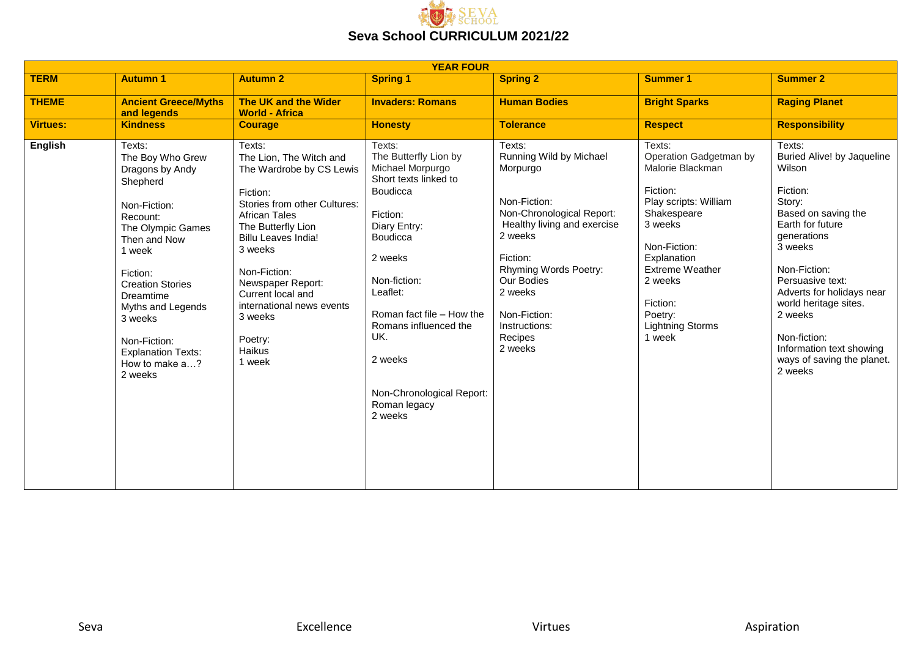

| <b>YEAR FOUR</b> |                                                                                                                                                                                                                                                                                                    |                                                                                                                                                                                                                                                                                                                                          |                                                                                                                                                                                                                                                                                                                |                                                                                                                                                                                                                                                           |                                                                                                                                                                                                                                                     |                                                                                                                                                                                                                                                                                                                                            |  |
|------------------|----------------------------------------------------------------------------------------------------------------------------------------------------------------------------------------------------------------------------------------------------------------------------------------------------|------------------------------------------------------------------------------------------------------------------------------------------------------------------------------------------------------------------------------------------------------------------------------------------------------------------------------------------|----------------------------------------------------------------------------------------------------------------------------------------------------------------------------------------------------------------------------------------------------------------------------------------------------------------|-----------------------------------------------------------------------------------------------------------------------------------------------------------------------------------------------------------------------------------------------------------|-----------------------------------------------------------------------------------------------------------------------------------------------------------------------------------------------------------------------------------------------------|--------------------------------------------------------------------------------------------------------------------------------------------------------------------------------------------------------------------------------------------------------------------------------------------------------------------------------------------|--|
| <b>TERM</b>      | <b>Autumn 1</b>                                                                                                                                                                                                                                                                                    | <b>Autumn 2</b>                                                                                                                                                                                                                                                                                                                          | <b>Spring 1</b>                                                                                                                                                                                                                                                                                                | <b>Spring 2</b>                                                                                                                                                                                                                                           | <b>Summer 1</b>                                                                                                                                                                                                                                     | <b>Summer 2</b>                                                                                                                                                                                                                                                                                                                            |  |
| <b>THEME</b>     | <b>Ancient Greece/Myths</b><br>and legends                                                                                                                                                                                                                                                         | The UK and the Wider<br><b>World - Africa</b>                                                                                                                                                                                                                                                                                            | <b>Invaders: Romans</b>                                                                                                                                                                                                                                                                                        | <b>Human Bodies</b>                                                                                                                                                                                                                                       | <b>Bright Sparks</b>                                                                                                                                                                                                                                | <b>Raging Planet</b>                                                                                                                                                                                                                                                                                                                       |  |
| <b>Virtues:</b>  | <b>Kindness</b>                                                                                                                                                                                                                                                                                    | <b>Courage</b>                                                                                                                                                                                                                                                                                                                           | <b>Honesty</b>                                                                                                                                                                                                                                                                                                 | <b>Tolerance</b>                                                                                                                                                                                                                                          | <b>Respect</b>                                                                                                                                                                                                                                      | <b>Responsibility</b>                                                                                                                                                                                                                                                                                                                      |  |
| <b>English</b>   | Texts:<br>The Boy Who Grew<br>Dragons by Andy<br>Shepherd<br>Non-Fiction:<br>Recount:<br>The Olympic Games<br>Then and Now<br>1 week<br>Fiction:<br><b>Creation Stories</b><br>Dreamtime<br>Myths and Legends<br>3 weeks<br>Non-Fiction:<br><b>Explanation Texts:</b><br>How to make a?<br>2 weeks | Texts:<br>The Lion, The Witch and<br>The Wardrobe by CS Lewis<br>Fiction:<br>Stories from other Cultures:<br><b>African Tales</b><br>The Butterfly Lion<br><b>Billu Leaves India!</b><br>3 weeks<br>Non-Fiction:<br>Newspaper Report:<br>Current local and<br>international news events<br>3 weeks<br>Poetry:<br><b>Haikus</b><br>1 week | Texts:<br>The Butterfly Lion by<br>Michael Morpurgo<br>Short texts linked to<br><b>Boudicca</b><br>Fiction:<br>Diary Entry:<br>Boudicca<br>2 weeks<br>Non-fiction:<br>Leaflet:<br>Roman fact file - How the<br>Romans influenced the<br>UK.<br>2 weeks<br>Non-Chronological Report:<br>Roman legacy<br>2 weeks | Texts:<br>Running Wild by Michael<br>Morpurgo<br>Non-Fiction:<br>Non-Chronological Report:<br>Healthy living and exercise<br>2 weeks<br>Fiction:<br>Rhyming Words Poetry:<br>Our Bodies<br>2 weeks<br>Non-Fiction:<br>Instructions:<br>Recipes<br>2 weeks | Texts:<br>Operation Gadgetman by<br>Malorie Blackman<br>Fiction:<br>Play scripts: William<br>Shakespeare<br>3 weeks<br>Non-Fiction:<br>Explanation<br><b>Extreme Weather</b><br>2 weeks<br>Fiction:<br>Poetry:<br><b>Lightning Storms</b><br>1 week | Texts:<br>Buried Alive! by Jaqueline<br>Wilson<br>Fiction:<br>Story:<br>Based on saving the<br>Earth for future<br><b>generations</b><br>3 weeks<br>Non-Fiction:<br>Persuasive text:<br>Adverts for holidays near<br>world heritage sites.<br>2 weeks<br>Non-fiction:<br>Information text showing<br>ways of saving the planet.<br>2 weeks |  |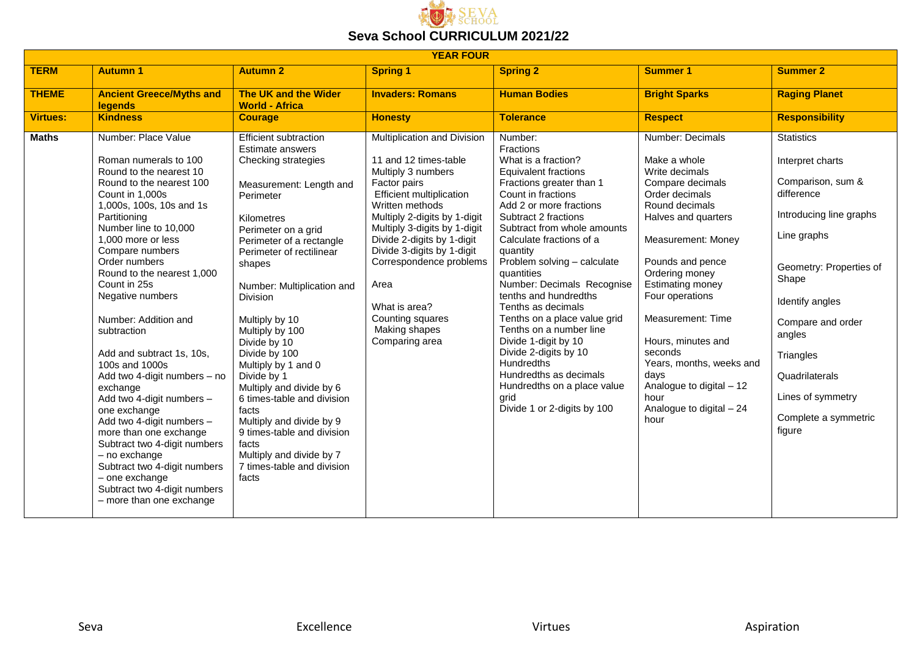

| <b>YEAR FOUR</b> |                                                                                                                                                                                                                                                                                                                                                                                                                                                                                                                                                                                                                                                                                                                              |                                                                                                                                                                                                                                                                                                                                                                                                                                                                                                                                                                                       |                                                                                                                                                                                                                                                                                                                                                                                         |                                                                                                                                                                                                                                                                                                                                                                                                                                                                                                                                                                                                                   |                                                                                                                                                                                                                                                                                                                                                                                                               |                                                                                                                                                                                                                                                                                                |  |  |
|------------------|------------------------------------------------------------------------------------------------------------------------------------------------------------------------------------------------------------------------------------------------------------------------------------------------------------------------------------------------------------------------------------------------------------------------------------------------------------------------------------------------------------------------------------------------------------------------------------------------------------------------------------------------------------------------------------------------------------------------------|---------------------------------------------------------------------------------------------------------------------------------------------------------------------------------------------------------------------------------------------------------------------------------------------------------------------------------------------------------------------------------------------------------------------------------------------------------------------------------------------------------------------------------------------------------------------------------------|-----------------------------------------------------------------------------------------------------------------------------------------------------------------------------------------------------------------------------------------------------------------------------------------------------------------------------------------------------------------------------------------|-------------------------------------------------------------------------------------------------------------------------------------------------------------------------------------------------------------------------------------------------------------------------------------------------------------------------------------------------------------------------------------------------------------------------------------------------------------------------------------------------------------------------------------------------------------------------------------------------------------------|---------------------------------------------------------------------------------------------------------------------------------------------------------------------------------------------------------------------------------------------------------------------------------------------------------------------------------------------------------------------------------------------------------------|------------------------------------------------------------------------------------------------------------------------------------------------------------------------------------------------------------------------------------------------------------------------------------------------|--|--|
| <b>TERM</b>      | <b>Autumn 1</b>                                                                                                                                                                                                                                                                                                                                                                                                                                                                                                                                                                                                                                                                                                              | <b>Autumn 2</b>                                                                                                                                                                                                                                                                                                                                                                                                                                                                                                                                                                       | <b>Spring 1</b>                                                                                                                                                                                                                                                                                                                                                                         | <b>Spring 2</b>                                                                                                                                                                                                                                                                                                                                                                                                                                                                                                                                                                                                   | <b>Summer 1</b>                                                                                                                                                                                                                                                                                                                                                                                               | <b>Summer 2</b>                                                                                                                                                                                                                                                                                |  |  |
| <b>THEME</b>     | <b>Ancient Greece/Myths and</b><br><b>legends</b>                                                                                                                                                                                                                                                                                                                                                                                                                                                                                                                                                                                                                                                                            | <b>The UK and the Wider</b><br><b>World - Africa</b>                                                                                                                                                                                                                                                                                                                                                                                                                                                                                                                                  | <b>Invaders: Romans</b>                                                                                                                                                                                                                                                                                                                                                                 | <b>Human Bodies</b>                                                                                                                                                                                                                                                                                                                                                                                                                                                                                                                                                                                               | <b>Bright Sparks</b>                                                                                                                                                                                                                                                                                                                                                                                          | <b>Raging Planet</b>                                                                                                                                                                                                                                                                           |  |  |
| <b>Virtues:</b>  | <b>Kindness</b>                                                                                                                                                                                                                                                                                                                                                                                                                                                                                                                                                                                                                                                                                                              | <b>Courage</b>                                                                                                                                                                                                                                                                                                                                                                                                                                                                                                                                                                        | <b>Honesty</b>                                                                                                                                                                                                                                                                                                                                                                          | <b>Tolerance</b>                                                                                                                                                                                                                                                                                                                                                                                                                                                                                                                                                                                                  | <b>Respect</b>                                                                                                                                                                                                                                                                                                                                                                                                | <b>Responsibility</b>                                                                                                                                                                                                                                                                          |  |  |
| <b>Maths</b>     | Number: Place Value<br>Roman numerals to 100<br>Round to the nearest 10<br>Round to the nearest 100<br>Count in 1,000s<br>1,000s, 100s, 10s and 1s<br>Partitioning<br>Number line to 10,000<br>1,000 more or less<br>Compare numbers<br>Order numbers<br>Round to the nearest 1,000<br>Count in 25s<br>Negative numbers<br>Number: Addition and<br>subtraction<br>Add and subtract 1s, 10s,<br>100s and 1000s<br>Add two 4-digit numbers - no<br>exchange<br>Add two 4-digit numbers -<br>one exchange<br>Add two 4-digit numbers -<br>more than one exchange<br>Subtract two 4-digit numbers<br>- no exchange<br>Subtract two 4-digit numbers<br>- one exchange<br>Subtract two 4-digit numbers<br>- more than one exchange | <b>Efficient subtraction</b><br>Estimate answers<br>Checking strategies<br>Measurement: Length and<br>Perimeter<br>Kilometres<br>Perimeter on a grid<br>Perimeter of a rectangle<br>Perimeter of rectilinear<br>shapes<br>Number: Multiplication and<br>Division<br>Multiply by 10<br>Multiply by 100<br>Divide by 10<br>Divide by 100<br>Multiply by 1 and 0<br>Divide by 1<br>Multiply and divide by 6<br>6 times-table and division<br>facts<br>Multiply and divide by 9<br>9 times-table and division<br>facts<br>Multiply and divide by 7<br>7 times-table and division<br>facts | Multiplication and Division<br>11 and 12 times-table<br>Multiply 3 numbers<br>Factor pairs<br><b>Efficient multiplication</b><br>Written methods<br>Multiply 2-digits by 1-digit<br>Multiply 3-digits by 1-digit<br>Divide 2-digits by 1-digit<br>Divide 3-digits by 1-digit<br>Correspondence problems<br>Area<br>What is area?<br>Counting squares<br>Making shapes<br>Comparing area | Number:<br>Fractions<br>What is a fraction?<br><b>Equivalent fractions</b><br>Fractions greater than 1<br>Count in fractions<br>Add 2 or more fractions<br>Subtract 2 fractions<br>Subtract from whole amounts<br>Calculate fractions of a<br>quantity<br>Problem solving - calculate<br>quantities<br>Number: Decimals Recognise<br>tenths and hundredths<br>Tenths as decimals<br>Tenths on a place value grid<br>Tenths on a number line<br>Divide 1-digit by 10<br>Divide 2-digits by 10<br><b>Hundredths</b><br>Hundredths as decimals<br>Hundredths on a place value<br>grid<br>Divide 1 or 2-digits by 100 | Number: Decimals<br>Make a whole<br>Write decimals<br>Compare decimals<br>Order decimals<br>Round decimals<br>Halves and quarters<br>Measurement: Money<br>Pounds and pence<br>Ordering money<br><b>Estimating money</b><br>Four operations<br>Measurement: Time<br>Hours, minutes and<br>seconds<br>Years, months, weeks and<br>days<br>Analogue to digital - 12<br>hour<br>Analogue to digital - 24<br>hour | <b>Statistics</b><br>Interpret charts<br>Comparison, sum &<br>difference<br>Introducing line graphs<br>Line graphs<br>Geometry: Properties of<br>Shape<br>Identify angles<br>Compare and order<br>angles<br>Triangles<br>Quadrilaterals<br>Lines of symmetry<br>Complete a symmetric<br>figure |  |  |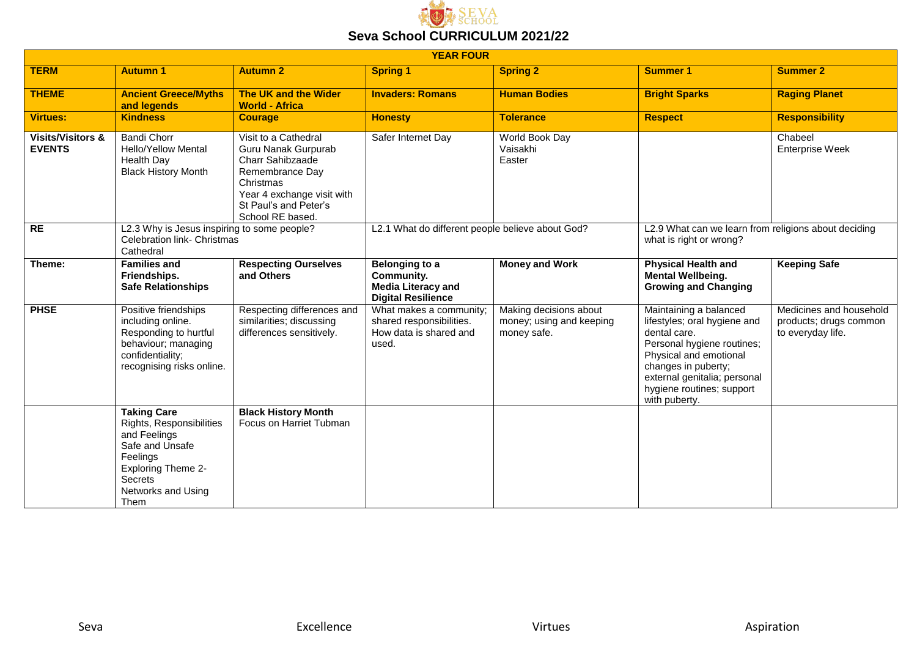

| <b>YEAR FOUR</b>                              |                                                                                                                                                                     |                                                                                                                                                                                   |                                                                                               |                                                                   |                                                                                                                                                                                                                                     |                                                                        |  |  |
|-----------------------------------------------|---------------------------------------------------------------------------------------------------------------------------------------------------------------------|-----------------------------------------------------------------------------------------------------------------------------------------------------------------------------------|-----------------------------------------------------------------------------------------------|-------------------------------------------------------------------|-------------------------------------------------------------------------------------------------------------------------------------------------------------------------------------------------------------------------------------|------------------------------------------------------------------------|--|--|
| <b>TERM</b>                                   | <b>Autumn 1</b>                                                                                                                                                     | <b>Autumn 2</b>                                                                                                                                                                   | <b>Spring 1</b>                                                                               | <b>Spring 2</b>                                                   | <b>Summer 1</b>                                                                                                                                                                                                                     | <b>Summer 2</b>                                                        |  |  |
| <b>THEME</b>                                  | <b>Ancient Greece/Myths</b><br>and legends                                                                                                                          | The UK and the Wider<br><b>World - Africa</b>                                                                                                                                     | <b>Invaders: Romans</b>                                                                       | <b>Human Bodies</b>                                               | <b>Bright Sparks</b>                                                                                                                                                                                                                | <b>Raging Planet</b>                                                   |  |  |
| <b>Virtues:</b>                               | <b>Kindness</b>                                                                                                                                                     | <b>Courage</b>                                                                                                                                                                    | <b>Honesty</b>                                                                                | <b>Tolerance</b>                                                  | <b>Respect</b>                                                                                                                                                                                                                      | <b>Responsibility</b>                                                  |  |  |
| <b>Visits/Visitors &amp;</b><br><b>EVENTS</b> | <b>Bandi Chorr</b><br><b>Hello/Yellow Mental</b><br>Health Day<br><b>Black History Month</b>                                                                        | Visit to a Cathedral<br>Guru Nanak Gurpurab<br><b>Charr Sahibzaade</b><br>Remembrance Day<br>Christmas<br>Year 4 exchange visit with<br>St Paul's and Peter's<br>School RE based. | Safer Internet Day                                                                            | World Book Day<br>Vaisakhi<br>Easter                              |                                                                                                                                                                                                                                     | Chabeel<br><b>Enterprise Week</b>                                      |  |  |
| RE                                            | L2.3 Why is Jesus inspiring to some people?<br>Celebration link- Christmas<br>Cathedral                                                                             |                                                                                                                                                                                   | L2.1 What do different people believe about God?                                              |                                                                   | L2.9 What can we learn from religions about deciding<br>what is right or wrong?                                                                                                                                                     |                                                                        |  |  |
| Theme:                                        | <b>Families and</b><br>Friendships.<br><b>Safe Relationships</b>                                                                                                    | <b>Respecting Ourselves</b><br>and Others                                                                                                                                         | <b>Belonging to a</b><br>Community.<br><b>Media Literacy and</b><br><b>Digital Resilience</b> | <b>Money and Work</b>                                             | <b>Physical Health and</b><br><b>Mental Wellbeing.</b><br><b>Growing and Changing</b>                                                                                                                                               | <b>Keeping Safe</b>                                                    |  |  |
| <b>PHSE</b>                                   | Positive friendships<br>including online.<br>Responding to hurtful<br>behaviour; managing<br>confidentiality;<br>recognising risks online.                          | Respecting differences and<br>similarities; discussing<br>differences sensitively.                                                                                                | What makes a community;<br>shared responsibilities.<br>How data is shared and<br>used.        | Making decisions about<br>money; using and keeping<br>money safe. | Maintaining a balanced<br>lifestyles; oral hygiene and<br>dental care.<br>Personal hygiene routines;<br>Physical and emotional<br>changes in puberty;<br>external genitalia; personal<br>hygiene routines; support<br>with puberty. | Medicines and household<br>products; drugs common<br>to everyday life. |  |  |
|                                               | <b>Taking Care</b><br>Rights, Responsibilities<br>and Feelings<br>Safe and Unsafe<br>Feelings<br>Exploring Theme 2-<br><b>Secrets</b><br>Networks and Using<br>Them | <b>Black History Month</b><br>Focus on Harriet Tubman                                                                                                                             |                                                                                               |                                                                   |                                                                                                                                                                                                                                     |                                                                        |  |  |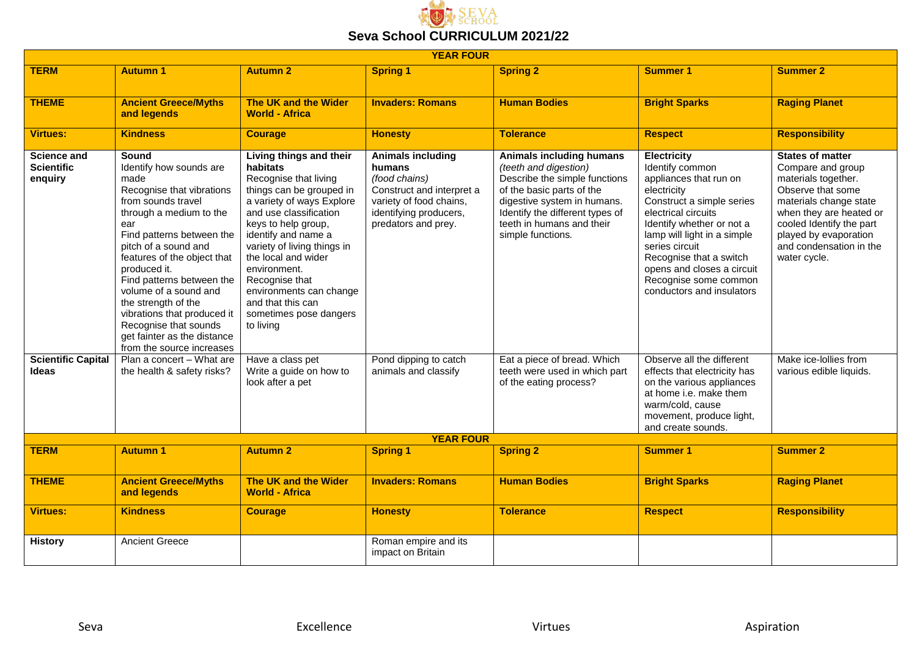

| <b>YEAR FOUR</b>                                   |                                                                                                                                                                                                                                                                                                                                                                                                                                    |                                                                                                                                                                                                                                                                                                                                                                              |                                                                                                                                                              |                                                                                                                                                                                                                                            |                                                                                                                                                                                                                                                                                                                                 |                                                                                                                                                                                                                                               |  |
|----------------------------------------------------|------------------------------------------------------------------------------------------------------------------------------------------------------------------------------------------------------------------------------------------------------------------------------------------------------------------------------------------------------------------------------------------------------------------------------------|------------------------------------------------------------------------------------------------------------------------------------------------------------------------------------------------------------------------------------------------------------------------------------------------------------------------------------------------------------------------------|--------------------------------------------------------------------------------------------------------------------------------------------------------------|--------------------------------------------------------------------------------------------------------------------------------------------------------------------------------------------------------------------------------------------|---------------------------------------------------------------------------------------------------------------------------------------------------------------------------------------------------------------------------------------------------------------------------------------------------------------------------------|-----------------------------------------------------------------------------------------------------------------------------------------------------------------------------------------------------------------------------------------------|--|
| <b>TERM</b>                                        | <b>Autumn 1</b>                                                                                                                                                                                                                                                                                                                                                                                                                    | <b>Autumn 2</b>                                                                                                                                                                                                                                                                                                                                                              | <b>Spring 1</b>                                                                                                                                              | <b>Spring 2</b>                                                                                                                                                                                                                            | <b>Summer 1</b>                                                                                                                                                                                                                                                                                                                 | <b>Summer 2</b>                                                                                                                                                                                                                               |  |
| <b>THEME</b>                                       | <b>Ancient Greece/Myths</b><br>and legends                                                                                                                                                                                                                                                                                                                                                                                         | The UK and the Wider<br><b>World - Africa</b>                                                                                                                                                                                                                                                                                                                                | <b>Invaders: Romans</b>                                                                                                                                      | <b>Human Bodies</b>                                                                                                                                                                                                                        | <b>Bright Sparks</b>                                                                                                                                                                                                                                                                                                            | <b>Raging Planet</b>                                                                                                                                                                                                                          |  |
| <b>Virtues:</b>                                    | <b>Kindness</b>                                                                                                                                                                                                                                                                                                                                                                                                                    | <b>Courage</b>                                                                                                                                                                                                                                                                                                                                                               | <b>Honesty</b>                                                                                                                                               | <b>Tolerance</b>                                                                                                                                                                                                                           | <b>Respect</b>                                                                                                                                                                                                                                                                                                                  | <b>Responsibility</b>                                                                                                                                                                                                                         |  |
| <b>Science and</b><br><b>Scientific</b><br>enquiry | Sound<br>Identify how sounds are<br>made<br>Recognise that vibrations<br>from sounds travel<br>through a medium to the<br>ear<br>Find patterns between the<br>pitch of a sound and<br>features of the object that<br>produced it.<br>Find patterns between the<br>volume of a sound and<br>the strength of the<br>vibrations that produced it<br>Recognise that sounds<br>get fainter as the distance<br>from the source increases | Living things and their<br>habitats<br>Recognise that living<br>things can be grouped in<br>a variety of ways Explore<br>and use classification<br>keys to help group,<br>identify and name a<br>variety of living things in<br>the local and wider<br>environment.<br>Recognise that<br>environments can change<br>and that this can<br>sometimes pose dangers<br>to living | <b>Animals including</b><br>humans<br>(food chains)<br>Construct and interpret a<br>variety of food chains,<br>identifying producers,<br>predators and prey. | <b>Animals including humans</b><br>(teeth and digestion)<br>Describe the simple functions<br>of the basic parts of the<br>digestive system in humans.<br>Identify the different types of<br>teeth in humans and their<br>simple functions. | <b>Electricity</b><br>Identify common<br>appliances that run on<br>electricity<br>Construct a simple series<br>electrical circuits<br>Identify whether or not a<br>lamp will light in a simple<br>series circuit<br>Recognise that a switch<br>opens and closes a circuit<br>Recognise some common<br>conductors and insulators | <b>States of matter</b><br>Compare and group<br>materials together.<br>Observe that some<br>materials change state<br>when they are heated or<br>cooled Identify the part<br>played by evaporation<br>and condensation in the<br>water cycle. |  |
| <b>Scientific Capital</b><br><b>Ideas</b>          | Plan a concert - What are<br>the health & safety risks?                                                                                                                                                                                                                                                                                                                                                                            | Have a class pet<br>Write a guide on how to<br>look after a pet                                                                                                                                                                                                                                                                                                              | Pond dipping to catch<br>animals and classify                                                                                                                | Eat a piece of bread. Which<br>teeth were used in which part<br>of the eating process?                                                                                                                                                     | Observe all the different<br>effects that electricity has<br>on the various appliances<br>at home i.e. make them<br>warm/cold, cause<br>movement, produce light,<br>and create sounds.                                                                                                                                          | Make ice-lollies from<br>various edible liquids.                                                                                                                                                                                              |  |
|                                                    |                                                                                                                                                                                                                                                                                                                                                                                                                                    |                                                                                                                                                                                                                                                                                                                                                                              | <b>YEAR FOUR</b>                                                                                                                                             |                                                                                                                                                                                                                                            |                                                                                                                                                                                                                                                                                                                                 |                                                                                                                                                                                                                                               |  |
| <b>TERM</b>                                        | <b>Autumn 1</b>                                                                                                                                                                                                                                                                                                                                                                                                                    | <b>Autumn 2</b>                                                                                                                                                                                                                                                                                                                                                              | <b>Spring 1</b>                                                                                                                                              | <b>Spring 2</b>                                                                                                                                                                                                                            | <b>Summer 1</b>                                                                                                                                                                                                                                                                                                                 | <b>Summer 2</b>                                                                                                                                                                                                                               |  |
| <b>THEME</b>                                       | <b>Ancient Greece/Myths</b><br>and legends                                                                                                                                                                                                                                                                                                                                                                                         | The UK and the Wider<br><b>World - Africa</b>                                                                                                                                                                                                                                                                                                                                | <b>Invaders: Romans</b>                                                                                                                                      | <b>Human Bodies</b>                                                                                                                                                                                                                        | <b>Bright Sparks</b>                                                                                                                                                                                                                                                                                                            | <b>Raging Planet</b>                                                                                                                                                                                                                          |  |
| <b>Virtues:</b>                                    | <b>Kindness</b>                                                                                                                                                                                                                                                                                                                                                                                                                    | <b>Courage</b>                                                                                                                                                                                                                                                                                                                                                               | <b>Honesty</b>                                                                                                                                               | <b>Tolerance</b>                                                                                                                                                                                                                           | <b>Respect</b>                                                                                                                                                                                                                                                                                                                  | <b>Responsibility</b>                                                                                                                                                                                                                         |  |
| <b>History</b>                                     | <b>Ancient Greece</b>                                                                                                                                                                                                                                                                                                                                                                                                              |                                                                                                                                                                                                                                                                                                                                                                              | Roman empire and its<br>impact on Britain                                                                                                                    |                                                                                                                                                                                                                                            |                                                                                                                                                                                                                                                                                                                                 |                                                                                                                                                                                                                                               |  |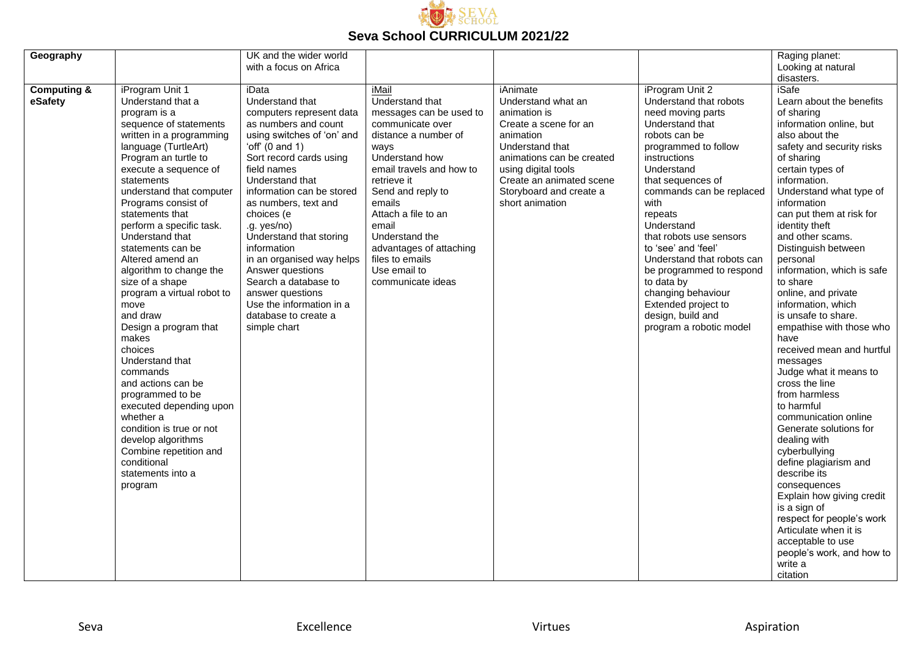

| Geography              |                                                    | UK and the wider world                             |                                          |                                    |                                      | Raging planet:                           |
|------------------------|----------------------------------------------------|----------------------------------------------------|------------------------------------------|------------------------------------|--------------------------------------|------------------------------------------|
|                        |                                                    | with a focus on Africa                             |                                          |                                    |                                      | Looking at natural                       |
|                        |                                                    |                                                    |                                          |                                    |                                      | disasters.                               |
| <b>Computing &amp;</b> | iProgram Unit 1                                    | iData                                              | iMail                                    | iAnimate                           | iProgram Unit 2                      | <b>iSafe</b>                             |
| eSafety                | Understand that a<br>program is a                  | Understand that                                    | Understand that                          | Understand what an<br>animation is | Understand that robots               | Learn about the benefits<br>of sharing   |
|                        |                                                    | computers represent data                           | messages can be used to                  |                                    | need moving parts<br>Understand that | information online, but                  |
|                        | sequence of statements<br>written in a programming | as numbers and count<br>using switches of 'on' and | communicate over<br>distance a number of | Create a scene for an<br>animation | robots can be                        | also about the                           |
|                        | language (TurtleArt)                               | 'off' $(0 \text{ and } 1)$                         | ways                                     | Understand that                    | programmed to follow                 | safety and security risks                |
|                        | Program an turtle to                               | Sort record cards using                            | Understand how                           | animations can be created          | instructions                         | of sharing                               |
|                        | execute a sequence of                              | field names                                        | email travels and how to                 | using digital tools                | Understand                           | certain types of                         |
|                        | statements                                         | Understand that                                    | retrieve it                              | Create an animated scene           | that sequences of                    | information.                             |
|                        | understand that computer                           | information can be stored                          | Send and reply to                        | Storyboard and create a            | commands can be replaced             | Understand what type of                  |
|                        | Programs consist of                                | as numbers, text and                               | emails                                   | short animation                    | with                                 | information                              |
|                        | statements that                                    | choices (e                                         | Attach a file to an                      |                                    | repeats                              | can put them at risk for                 |
|                        | perform a specific task.                           | .g. yes/no)                                        | email                                    |                                    | Understand                           | identity theft                           |
|                        | Understand that                                    | Understand that storing                            | Understand the                           |                                    | that robots use sensors              | and other scams.                         |
|                        | statements can be                                  | information                                        | advantages of attaching                  |                                    | to 'see' and 'feel'                  | Distinguish between                      |
|                        | Altered amend an                                   | in an organised way helps                          | files to emails                          |                                    | Understand that robots can           | personal                                 |
|                        | algorithm to change the                            | Answer questions                                   | Use email to                             |                                    | be programmed to respond             | information, which is safe               |
|                        | size of a shape                                    | Search a database to                               | communicate ideas                        |                                    | to data by                           | to share                                 |
|                        | program a virtual robot to                         | answer questions                                   |                                          |                                    | changing behaviour                   | online, and private                      |
|                        | move                                               | Use the information in a                           |                                          |                                    | Extended project to                  | information, which                       |
|                        | and draw                                           | database to create a                               |                                          |                                    | design, build and                    | is unsafe to share.                      |
|                        | Design a program that                              | simple chart                                       |                                          |                                    | program a robotic model              | empathise with those who                 |
|                        | makes                                              |                                                    |                                          |                                    |                                      | have                                     |
|                        | choices                                            |                                                    |                                          |                                    |                                      | received mean and hurtful                |
|                        | Understand that                                    |                                                    |                                          |                                    |                                      | messages                                 |
|                        | commands                                           |                                                    |                                          |                                    |                                      | Judge what it means to<br>cross the line |
|                        | and actions can be<br>programmed to be             |                                                    |                                          |                                    |                                      | from harmless                            |
|                        | executed depending upon                            |                                                    |                                          |                                    |                                      | to harmful                               |
|                        | whether a                                          |                                                    |                                          |                                    |                                      | communication online                     |
|                        | condition is true or not                           |                                                    |                                          |                                    |                                      | Generate solutions for                   |
|                        | develop algorithms                                 |                                                    |                                          |                                    |                                      | dealing with                             |
|                        | Combine repetition and                             |                                                    |                                          |                                    |                                      | cyberbullying                            |
|                        | conditional                                        |                                                    |                                          |                                    |                                      | define plagiarism and                    |
|                        | statements into a                                  |                                                    |                                          |                                    |                                      | describe its                             |
|                        | program                                            |                                                    |                                          |                                    |                                      | consequences                             |
|                        |                                                    |                                                    |                                          |                                    |                                      | Explain how giving credit                |
|                        |                                                    |                                                    |                                          |                                    |                                      | is a sign of                             |
|                        |                                                    |                                                    |                                          |                                    |                                      | respect for people's work                |
|                        |                                                    |                                                    |                                          |                                    |                                      | Articulate when it is                    |
|                        |                                                    |                                                    |                                          |                                    |                                      | acceptable to use                        |
|                        |                                                    |                                                    |                                          |                                    |                                      | people's work, and how to                |
|                        |                                                    |                                                    |                                          |                                    |                                      | write a                                  |
|                        |                                                    |                                                    |                                          |                                    |                                      | citation                                 |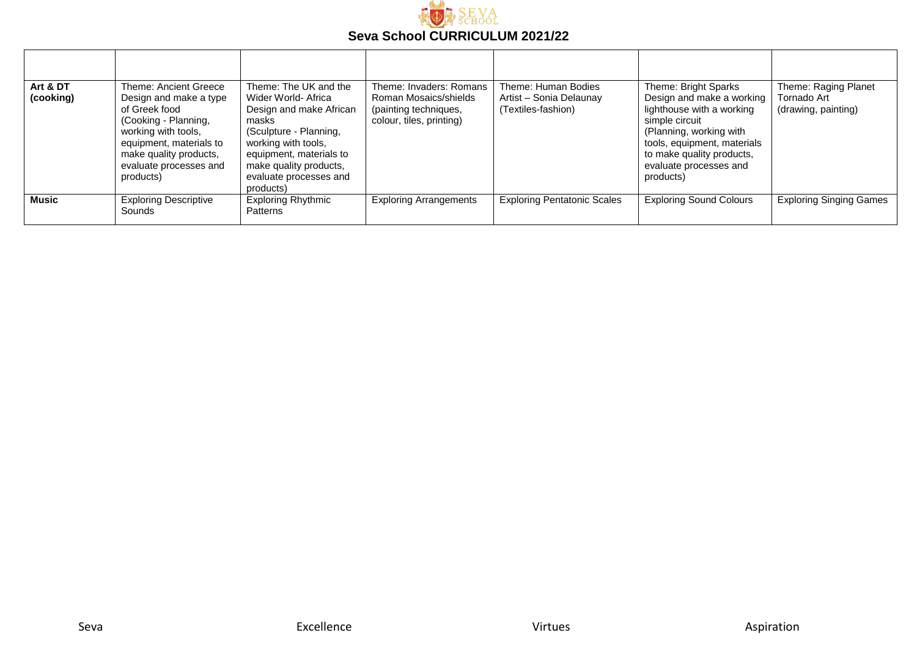

| Art & DT<br>(cooking) | Theme: Ancient Greece<br>Design and make a type<br>of Greek food<br>(Cooking - Planning,<br>working with tools,<br>equipment, materials to<br>make quality products,<br>evaluate processes and<br>products) | Theme: The UK and the<br>Wider World- Africa<br>Design and make African<br>masks<br>(Sculpture - Planning,<br>working with tools,<br>equipment, materials to<br>make quality products,<br>evaluate processes and<br>products) | Theme: Invaders: Romans<br>Roman Mosaics/shields<br>(painting techniques,<br>colour, tiles, printing) | Theme: Human Bodies<br>Artist - Sonia Delaunay<br>(Textiles-fashion) | Theme: Bright Sparks<br>Design and make a working<br>lighthouse with a working<br>simple circuit<br>(Planning, working with<br>tools, equipment, materials<br>to make quality products,<br>evaluate processes and<br>products) | Theme: Raging Planet<br>Tornado Art<br>(drawing, painting) |
|-----------------------|-------------------------------------------------------------------------------------------------------------------------------------------------------------------------------------------------------------|-------------------------------------------------------------------------------------------------------------------------------------------------------------------------------------------------------------------------------|-------------------------------------------------------------------------------------------------------|----------------------------------------------------------------------|--------------------------------------------------------------------------------------------------------------------------------------------------------------------------------------------------------------------------------|------------------------------------------------------------|
| <b>Music</b>          | <b>Exploring Descriptive</b><br>Sounds                                                                                                                                                                      | <b>Exploring Rhythmic</b><br>Patterns                                                                                                                                                                                         | <b>Exploring Arrangements</b>                                                                         | <b>Exploring Pentatonic Scales</b>                                   | <b>Exploring Sound Colours</b>                                                                                                                                                                                                 | <b>Exploring Singing Games</b>                             |